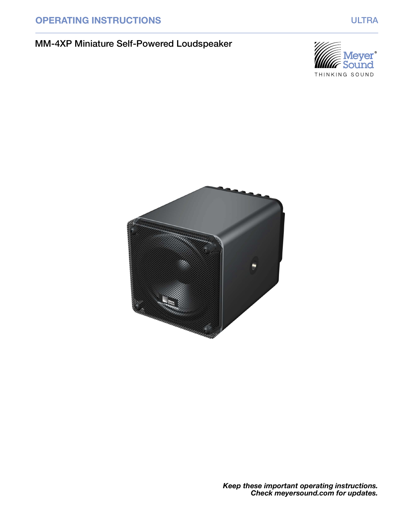# OPERATING INSTRUCTIONS WE ARREST MANAGEMENT OF THE MULTRA

# MM-4XP Miniature Self-Powered Loudspeaker





Keep these important operating instructions. Check meyersound.com for updates.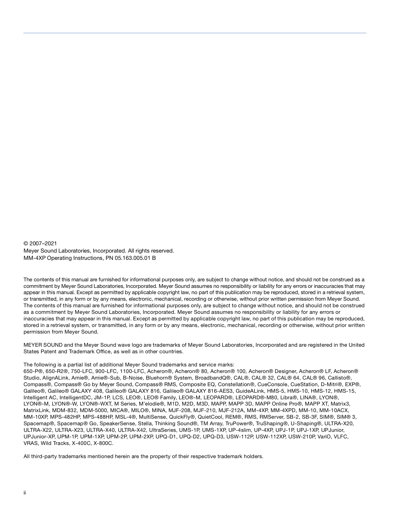© 2007–2021 Meyer Sound Laboratories, Incorporated. All rights reserved. MM-4XP Operating Instructions, PN 05.163.005.01 B

The contents of this manual are furnished for informational purposes only, are subject to change without notice, and should not be construed as a commitment by Meyer Sound Laboratories, Incorporated. Meyer Sound assumes no responsibility or liability for any errors or inaccuracies that may appear in this manual. Except as permitted by applicable copyright law, no part of this publication may be reproduced, stored in a retrieval system, or transmitted, in any form or by any means, electronic, mechanical, recording or otherwise, without prior written permission from Meyer Sound. The contents of this manual are furnished for informational purposes only, are subject to change without notice, and should not be construed as a commitment by Meyer Sound Laboratories, Incorporated. Meyer Sound assumes no responsibility or liability for any errors or inaccuracies that may appear in this manual. Except as permitted by applicable copyright law, no part of this publication may be reproduced, stored in a retrieval system, or transmitted, in any form or by any means, electronic, mechanical, recording or otherwise, without prior written permission from Meyer Sound.

MEYER SOUND and the Meyer Sound wave logo are trademarks of Meyer Sound Laboratories, Incorporated and are registered in the United States Patent and Trademark Office, as well as in other countries.

#### The following is a partial list of additional Meyer Sound trademarks and service marks:

650-P®, 650-R2®, 750-LFC, 900-LFC, 1100-LFC, Acheron®, Acheron® 80, Acheron® 100, Acheron® Designer, Acheron® LF, Acheron® Studio, AlignALink, Amie®, Amie®-Sub, B-Noise, Bluehorn® System, BroadbandQ®, CAL®, CAL® 32, CAL® 64, CAL® 96, Callisto®, Compass®, Compass® Go by Meyer Sound, Compass® RMS, Composite EQ, Constellation®, CueConsole, CueStation, D-Mitri®, EXP®, Galileo®, Galileo® GALAXY 408, Galileo® GALAXY 816, Galileo® GALAXY 816-AES3, GuideALink, HMS-5, HMS-10, HMS-12, HMS-15, Intelligent AC, IntelligentDC, JM-1P, LCS, LEO®, LEO® Family, LEO®-M, LEOPARD®, LEOPARD®-M80, Libra®, LINA®, LYON®, LYON®-M, LYON®-W, LYON®-WXT, M Series, M'elodie®, M1D, M2D, M3D, MAPP, MAPP 3D, MAPP Online Pro®, MAPP XT, Matrix3, MatrixLink, MDM-832, MDM-5000, MICA®, MILO®, MINA, MJF-208, MJF-210, MJF-212A, MM-4XP, MM-4XPD, MM-10, MM-10ACX, MM-10XP, MPS-482HP, MPS-488HP, MSL-4®, MultiSense, QuickFly®, QuietCool, REM®, RMS, RMServer, SB-2, SB-3F, SIM®, SIM® 3, Spacemap®, Spacemap® Go, SpeakerSense, Stella, Thinking Sound®, TM Array, TruPower®, TruShaping®, U-Shaping®, ULTRA-X20, ULTRA-X22, ULTRA-X23, ULTRA-X40, ULTRA-X42, UltraSeries, UMS-1P, UMS-1XP, UP-4slim, UP-4XP, UPJ-1P, UPJ-1XP, UPJunior, UPJunior-XP, UPM-1P, UPM-1XP, UPM-2P, UPM-2XP, UPQ-D1, UPQ-D2, UPQ-D3, USW-112P, USW-112XP, USW-210P, VariO, VLFC, VRAS, Wild Tracks, X-400C, X-800C.

All third-party trademarks mentioned herein are the property of their respective trademark holders.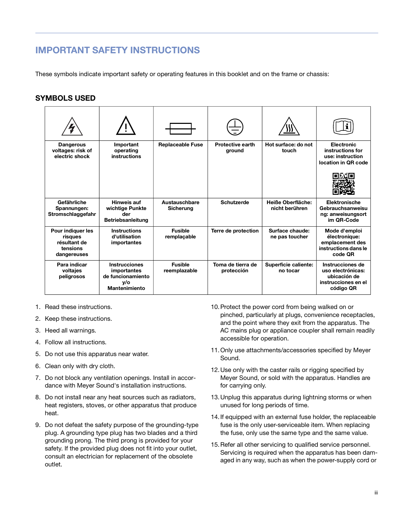# <span id="page-2-0"></span>IMPORTANT SAFETY INSTRUCTIONS

These symbols indicate important safety or operating features in this booklet and on the frame or chassis:

### <span id="page-2-1"></span>SYMBOLS USED

| <b>Dangerous</b><br>voltages: risk of<br>electric shock                 | Important<br>operating<br>instructions                                                  | <b>Replaceable Fuse</b>        | <b>Protective earth</b><br>ground | Hot surface: do not<br>touch        | <b>Electronic</b><br>instructions for<br>use: instruction<br>location in QR code          |
|-------------------------------------------------------------------------|-----------------------------------------------------------------------------------------|--------------------------------|-----------------------------------|-------------------------------------|-------------------------------------------------------------------------------------------|
|                                                                         |                                                                                         |                                |                                   |                                     |                                                                                           |
| Gefährliche<br>Spannungen:<br>Stromschlaggefahr                         | Hinweis auf<br>wichtige Punkte<br>der<br><b>Betriebsanleitung</b>                       | Austauschbare<br>Sicherung     | Schutzerde                        | Heiße Oberfläche:<br>nicht berühren | Elektronische<br>Gebrauchsanweisu<br>ng: anweisungsort<br>im QR-Code                      |
| Pour indiquer les<br>risques<br>résultant de<br>tensions<br>dangereuses | <b>Instructions</b><br>d'utilisation<br>importantes                                     | <b>Fusible</b><br>remplaçable  | Terre de protection               | Surface chaude:<br>ne pas toucher   | Mode d'emploi<br>électronique:<br>emplacement des<br>instructions dans le<br>code QR      |
| Para indicar<br>voltajes<br>peligrosos                                  | <b>Instrucciones</b><br>importantes<br>de funcionamiento<br>y/o<br><b>Mantenimiento</b> | <b>Fusible</b><br>reemplazable | Toma de tierra de<br>protección   | Superficie caliente:<br>no tocar    | Instrucciones de<br>uso electrónicas:<br>ubicación de<br>instrucciones en el<br>código QR |

- 1. Read these instructions.
- 2. Keep these instructions.
- 3. Heed all warnings.
- 4. Follow all instructions.
- 5. Do not use this apparatus near water.
- 6. Clean only with dry cloth.
- 7. Do not block any ventilation openings. Install in accordance with Meyer Sound's installation instructions.
- 8. Do not install near any heat sources such as radiators, heat registers, stoves, or other apparatus that produce heat.
- 9. Do not defeat the safety purpose of the grounding-type plug. A grounding type plug has two blades and a third grounding prong. The third prong is provided for your safety. If the provided plug does not fit into your outlet, consult an electrician for replacement of the obsolete outlet.
- 10.Protect the power cord from being walked on or pinched, particularly at plugs, convenience receptacles, and the point where they exit from the apparatus. The AC mains plug or appliance coupler shall remain readily accessible for operation.
- 11.Only use attachments/accessories specified by Meyer Sound.
- 12.Use only with the caster rails or rigging specified by Meyer Sound, or sold with the apparatus. Handles are for carrying only.
- 13.Unplug this apparatus during lightning storms or when unused for long periods of time.
- 14.If equipped with an external fuse holder, the replaceable fuse is the only user-serviceable item. When replacing the fuse, only use the same type and the same value.
- 15.Refer all other servicing to qualified service personnel. Servicing is required when the apparatus has been damaged in any way, such as when the power-supply cord or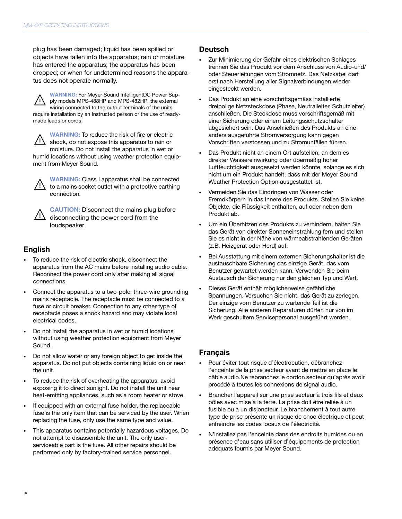plug has been damaged; liquid has been spilled or objects have fallen into the apparatus; rain or moisture has entered the apparatus; the apparatus has been dropped; or when for undetermined reasons the apparatus does not operate normally.

WARNING: For Meyer Sound IntelligentDC Power Supply models MPS-488HP and MPS-482HP, the external wiring connected to the output terminals of the units require installation by an Instructed person or the use of readymade leads or cords.  $\sqrt{N}$ 

WARNING: To reduce the risk of fire or electric shock, do not expose this apparatus to rain or moisture. Do not install the apparatus in wet or humid locations without using weather protection equipment from Meyer Sound.  $\sqrt{a}$ 



WARNING: Class I apparatus shall be connected to a mains socket outlet with a protective earthing connection.

CAUTION: Disconnect the mains plug before disconnecting the power cord from the loudspeaker.  $\sqrt{a}$ 

#### English

- To reduce the risk of electric shock, disconnect the apparatus from the AC mains before installing audio cable. Reconnect the power cord only after making all signal connections.
- Connect the apparatus to a two-pole, three-wire grounding mains receptacle. The receptacle must be connected to a fuse or circuit breaker. Connection to any other type of receptacle poses a shock hazard and may violate local electrical codes.
- Do not install the apparatus in wet or humid locations without using weather protection equipment from Meyer Sound.
- Do not allow water or any foreign object to get inside the apparatus. Do not put objects containing liquid on or near the unit.
- To reduce the risk of overheating the apparatus, avoid exposing it to direct sunlight. Do not install the unit near heat-emitting appliances, such as a room heater or stove.
- If equipped with an external fuse holder, the replaceable fuse is the only item that can be serviced by the user. When replacing the fuse, only use the same type and value.
- This apparatus contains potentially hazardous voltages. Do not attempt to disassemble the unit. The only userserviceable part is the fuse. All other repairs should be performed only by factory-trained service personnel.

#### Deutsch

- Zur Minimierung der Gefahr eines elektrischen Schlages trennen Sie das Produkt vor dem Anschluss von Audio-und/ oder Steuerleitungen vom Stromnetz. Das Netzkabel darf erst nach Herstellung aller Signalverbindungen wieder eingesteckt werden.
- Das Produkt an eine vorschriftsgemäss installierte dreipolige Netzsteckdose (Phase, Neutralleiter, Schutzleiter) anschließen. Die Steckdose muss vorschriftsgemäß mit einer Sicherung oder einem Leitungsschutzschalter abgesichert sein. Das Anschließen des Produkts an eine anders ausgeführte Stromversorgung kann gegen Vorschriften verstossen und zu Stromunfällen führen.
- Das Produkt nicht an einem Ort aufstellen, an dem es direkter Wassereinwirkung oder übermäßig hoher Luftfeuchtigkeit ausgesetzt werden könnte, solange es sich nicht um ein Produkt handelt, dass mit der Meyer Sound Weather Protection Option ausgestattet ist.
- Vermeiden Sie das Eindringen von Wasser oder Fremdkörpern in das Innere des Produkts. Stellen Sie keine Objekte, die Flüssigkeit enthalten, auf oder neben dem Produkt ab.
- Um ein Überhitzen des Produkts zu verhindern, halten Sie das Gerät von direkter Sonneneinstrahlung fern und stellen Sie es nicht in der Nähe von wärmeabstrahlenden Geräten (z.B. Heizgerät oder Herd) auf.
- Bei Ausstattung mit einem externen Sicherungshalter ist die austauschbare Sicherung das einzige Gerät, das vom Benutzer gewartet werden kann. Verwenden Sie beim Austausch der Sicherung nur den gleichen Typ und Wert.
- Dieses Gerät enthält möglicherweise gefährliche Spannungen. Versuchen Sie nicht, das Gerät zu zerlegen. Der einzige vom Benutzer zu wartende Teil ist die Sicherung. Alle anderen Reparaturen dürfen nur von im Werk geschultem Servicepersonal ausgeführt werden.

### Français

- Pour éviter tout risque d'électrocution, débranchez l'enceinte de la prise secteur avant de mettre en place le câble audio.Ne rebranchez le cordon secteur qu'après avoir procédé à toutes les connexions de signal audio.
- Brancher l'appareil sur une prise secteur à trois fils et deux pôles avec mise à la terre. La prise doit être reliée à un fusible ou à un disjoncteur. Le branchement à tout autre type de prise présente un risque de choc électrique et peut enfreindre les codes locaux de l'électricité.
- N'installez pas l'enceinte dans des endroits humides ou en présence d'eau sans utiliser d'équipements de protection adéquats fournis par Meyer Sound.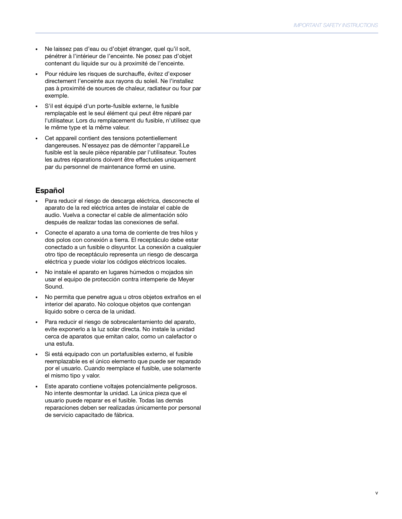- Ne laissez pas d'eau ou d'objet étranger, quel qu'il soit, pénétrer à l'intérieur de l'enceinte. Ne posez pas d'objet contenant du liquide sur ou à proximité de l'enceinte.
- Pour réduire les risques de surchauffe, évitez d'exposer directement l'enceinte aux rayons du soleil. Ne l'installez pas à proximité de sources de chaleur, radiateur ou four par exemple.
- S'il est équipé d'un porte-fusible externe, le fusible remplaçable est le seul élément qui peut être réparé par l'utilisateur. Lors du remplacement du fusible, n'utilisez que le même type et la même valeur.
- Cet appareil contient des tensions potentiellement dangereuses. N'essayez pas de démonter l'appareil.Le fusible est la seule pièce réparable par l'utilisateur. Toutes les autres réparations doivent être effectuées uniquement par du personnel de maintenance formé en usine.

## Español

- Para reducir el riesgo de descarga eléctrica, desconecte el aparato de la red eléctrica antes de instalar el cable de audio. Vuelva a conectar el cable de alimentación sólo después de realizar todas las conexiones de señal.
- Conecte el aparato a una toma de corriente de tres hilos y dos polos con conexión a tierra. El receptáculo debe estar conectado a un fusible o disyuntor. La conexión a cualquier otro tipo de receptáculo representa un riesgo de descarga eléctrica y puede violar los códigos eléctricos locales.
- No instale el aparato en lugares húmedos o mojados sin usar el equipo de protección contra intemperie de Meyer Sound.
- No permita que penetre agua u otros objetos extraños en el interior del aparato. No coloque objetos que contengan líquido sobre o cerca de la unidad.
- Para reducir el riesgo de sobrecalentamiento del aparato, evite exponerlo a la luz solar directa. No instale la unidad cerca de aparatos que emitan calor, como un calefactor o una estufa.
- Si está equipado con un portafusibles externo, el fusible reemplazable es el único elemento que puede ser reparado por el usuario. Cuando reemplace el fusible, use solamente el mismo tipo y valor.
- Este aparato contiene voltajes potencialmente peligrosos. No intente desmontar la unidad. La única pieza que el usuario puede reparar es el fusible. Todas las demás reparaciones deben ser realizadas únicamente por personal de servicio capacitado de fábrica.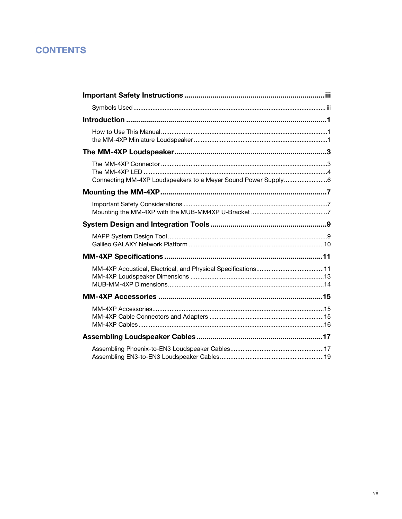# **CONTENTS**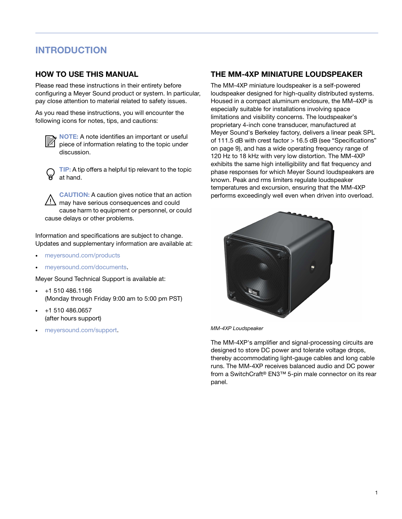# <span id="page-8-0"></span>INTRODUCTION

### <span id="page-8-1"></span>HOW TO USE THIS MANUAL

Please read these instructions in their entirety before configuring a Meyer Sound product or system. In particular, pay close attention to material related to safety issues.

As you read these instructions, you will encounter the following icons for notes, tips, and cautions:



NOTE: A note identifies an important or useful piece of information relating to the topic under discussion.

TIP: A tip offers a helpful tip relevant to the topic at hand. у

CAUTION: A caution gives notice that an action **nay have serious consequences and could** cause harm to equipment or personnel, or could cause delays or other problems.

Information and specifications are subject to change. Updates and supplementary information are available at:

- [meyersound.com/products](https://meyersound.com/products)
- [meyersound.com/documents](https://meyersound.com/documents).

Meyer Sound Technical Support is available at:

- +1 510 486.1166 (Monday through Friday 9:00 am to 5:00 pm PST)
- +1 510 486.0657 (after hours support)
- [meyersound.com/support](https://meyersound.com/support).

## <span id="page-8-2"></span>THE MM-4XP MINIATURE LOUDSPEAKER

The MM-4XP miniature loudspeaker is a self-powered loudspeaker designed for high-quality distributed systems. Housed in a compact aluminum enclosure, the MM-4XP is especially suitable for installations involving space limitations and visibility concerns. The loudspeaker's proprietary 4-inch cone transducer, manufactured at Meyer Sound's Berkeley factory, delivers a linear peak SPL of 111.5 dB with crest factor > 16.5 dB (see "Specifications" on page 9), and has a wide operating frequency range of 120 Hz to 18 kHz with very low distortion. The MM-4XP exhibits the same high intelligibility and flat frequency and phase responses for which Meyer Sound loudspeakers are known. Peak and rms limiters regulate loudspeaker temperatures and excursion, ensuring that the MM-4XP performs exceedingly well even when driven into overload.



MM*-*4XP Loudspeaker

The MM-4XP's amplifier and signal-processing circuits are designed to store DC power and tolerate voltage drops, thereby accommodating light-gauge cables and long cable runs. The MM-4XP receives balanced audio and DC power from a SwitchCraft® EN3™ 5-pin male connector on its rear panel.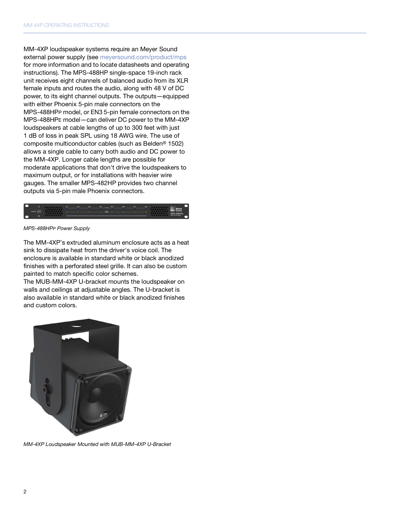MM-[4XP loudspeaker systems require an Meyer Sound](https://meyersound.com/product/mps)  [external power supply \(see](https://meyersound.com/product/mps) meyersound.com/product/mps for more information and to locate datasheets and operating instructions). The MPS-488HP single-space 19-inch rack unit receives eight channels of balanced audio from its XLR female inputs and routes the audio, along with 48 V of DC power, to its eight channel outputs. The outputs—equipped with either Phoenix 5-pin male connectors on the MPS-488HPP model, or EN3 5-pin female connectors on the MPS-488HPE model—can deliver DC power to the MM-4XP loudspeakers at cable lengths of up to 300 feet with just 1 dB of loss in peak SPL using 18 AWG wire. The use of composite multiconductor cables (such as Belden® 1502) allows a single cable to carry both audio and DC power to the MM-4XP. Longer cable lengths are possible for moderate applications that don't drive the loudspeakers to maximum output, or for installations with heavier wire gauges. The smaller MPS-482HP provides two channel outputs via 5-pin male Phoenix connectors.



MPS*-*488HPP Power Supply

The MM-4XP's extruded aluminum enclosure acts as a heat sink to dissipate heat from the driver's voice coil. The enclosure is available in standard white or black anodized finishes with a perforated steel grille. It can also be custom painted to match specific color schemes.

The MUB-MM-4XP U-bracket mounts the loudspeaker on walls and ceilings at adjustable angles. The U-bracket is also available in standard white or black anodized finishes and custom colors.



MM*-*4XP Loudspeaker Mounted with MUB-MM-4XP U-Bracket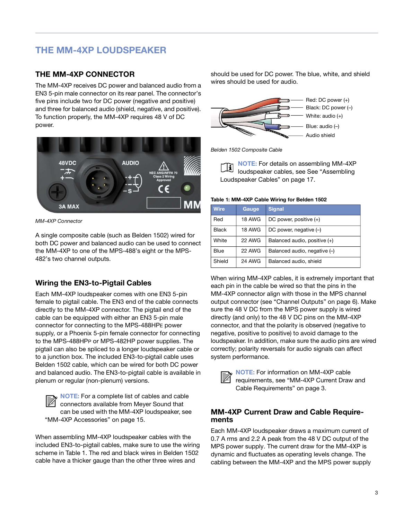# <span id="page-10-0"></span>THE MM-4XP LOUDSPEAKER

### <span id="page-10-1"></span>THE MM-4XP CONNECTOR

The MM-4XP receives DC power and balanced audio from a EN3 5-pin male connector on its rear panel. The connector's five pins include two for DC power (negative and positive) and three for balanced audio (shield, negative, and positive). To function properly, the MM-4XP requires 48 V of DC power.



MM*-*4XP Connector

A single composite cable (such as Belden 1502) wired for both DC power and balanced audio can be used to connect the MM-4XP to one of the MPS-488's eight or the MPS-482's two channel outputs.

## Wiring the EN3-to-Pigtail Cables

Each MM-4XP loudspeaker comes with one EN3 5-pin female to pigtail cable. The EN3 end of the cable connects directly to the MM-4XP connector. The pigtail end of the cable can be equipped with either an EN3 5-pin male connector for connecting to the MPS-488HPE power supply, or a Phoenix 5-pin female connector for connecting to the MPS-488HPP or MPS-482HP power supplies. The pigtail can also be spliced to a longer loudspeaker cable or to a junction box. The included EN3-to-pigtail cable uses Belden 1502 cable, which can be wired for both DC power and balanced audio. The EN3-to-pigtail cable is available in plenum or regular (non-plenum) versions.

NOTE: For a complete list of cables and cable connectors available from Meyer Sound that can be used with the MM-4XP loudspeaker, see "MM-[4XP Accessories" on page 15.](#page-22-3) ៧

When assembling MM-4XP loudspeaker cables with the included EN3-to-pigtail cables, make sure to use the wiring scheme in Table 1. The red and black wires in Belden 1502 cable have a thicker gauge than the other three wires and

should be used for DC power. The blue, white, and shield wires should be used for audio.



Belden 1502 Composite Cable

NOTE: For details on assembling MM-4XP Ħ loudspeaker cables, see [See "Assembling](#page-24-2)  [Loudspeaker Cables" on page 17.](#page-24-2)

#### Table 1: MM-4XP Cable Wiring for Belden 1502

| <b>Wire</b>  | Gauge         | <b>Signal</b>                |
|--------------|---------------|------------------------------|
| Red          | <b>18 AWG</b> | DC power, positive $(+)$     |
| <b>Black</b> | <b>18 AWG</b> | DC power, negative $(-)$     |
| White        | 22 AWG        | Balanced audio, positive (+) |
| Blue         | 22 AWG        | Balanced audio, negative (-) |
| Shield       | <b>24 AWG</b> | Balanced audio, shield       |

When wiring MM-4XP cables, it is extremely important that each pin in the cable be wired so that the pins in the MM-4XP connector align with those in the MPS channel output connector (see "Channel Outputs" on page 6). Make sure the 48 V DC from the MPS power supply is wired directly (and only) to the 48 V DC pins on the MM-4XP connector, and that the polarity is observed (negative to negative, positive to positive) to avoid damage to the loudspeaker. In addition, make sure the audio pins are wired correctly; polarity reversals for audio signals can affect system performance.



NOTE: For information on MM-4XP cable requirements, see "MM-[4XP Current Draw and](#page-10-2)  [Cable Requirements" on page 3.](#page-10-2)

#### <span id="page-10-2"></span>MM-4XP Current Draw and Cable Requirements

Each MM-4XP loudspeaker draws a maximum current of 0.7 A rms and 2.2 A peak from the 48 V DC output of the MPS power supply. The current draw for the MM-4XP is dynamic and fluctuates as operating levels change. The cabling between the MM-4XP and the MPS power supply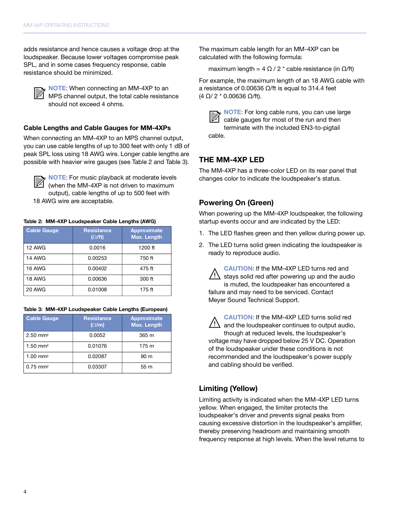adds resistance and hence causes a voltage drop at the loudspeaker. Because lower voltages compromise peak SPL, and in some cases frequency response, cable resistance should be minimized.

៧

NOTE: When connecting an MM-4XP to an MPS channel output, the total cable resistance should not exceed 4 ohms.

#### Cable Lengths and Cable Gauges for MM-4XPs

When connecting an MM-4XP to an MPS channel output, you can use cable lengths of up to 300 feet with only 1 dB of peak SPL loss using 18 AWG wire. Longer cable lengths are possible with heavier wire gauges (see Table 2 and Table 3).

៧

NOTE: For music playback at moderate levels (when the MM-4XP is not driven to maximum output), cable lengths of up to 500 feet with 18 AWG wire are acceptable.

#### Table 2: MM-4XP Loudspeaker Cable Lengths (AWG)

| <b>Cable Gauge</b> | <b>Resistance</b><br>$(\Omega/\text{ft})$ | Approximate<br>Max. Length |
|--------------------|-------------------------------------------|----------------------------|
| 12 AWG             | 0.0016                                    | $1200$ ft                  |
| 14 AWG             | 0.00253                                   | 750 ft                     |
| <b>16 AWG</b>      | 0.00402                                   | 475 ft                     |
| 18 AWG             | 0.00636                                   | 300 ft                     |
| <b>20 AWG</b>      | 0.01008                                   | 175 ft                     |

| Table 3: MM-4XP Loudspeaker Cable Lengths (European) |  |  |
|------------------------------------------------------|--|--|
|------------------------------------------------------|--|--|

| <b>Cable Gauge</b>     | <b>Resistance</b><br>$(\Omega/m)$ | Approximate<br>Max. Length |
|------------------------|-----------------------------------|----------------------------|
| $2.50$ mm <sup>2</sup> | 0.0052                            | 365 m                      |
| $1.50$ mm <sup>2</sup> | 0.01076                           | 175 m                      |
| $1.00$ mm <sup>2</sup> | 0.02087                           | 90 m                       |
| $0.75$ mm <sup>2</sup> | 0.03307                           | 55 m                       |

The maximum cable length for an MM-4XP can be calculated with the following formula:

maximum length =  $4 \Omega / 2$  \* cable resistance (in  $\Omega /$ ft)

For example, the maximum length of an 18 AWG cable with a resistance of 0.00636  $Ω$ /ft is equal to 314.4 feet (4 Ω/ 2 \* 0.00636 Ω/ft).



NOTE: For long cable runs, you can use large cable gauges for most of the run and then terminate with the included EN3-to-pigtail cable.

### <span id="page-11-0"></span>THE MM-4XP LED

The MM-4XP has a three-color LED on its rear panel that changes color to indicate the loudspeaker's status.

#### Powering On (Green)

When powering up the MM-4XP loudspeaker, the following startup events occur and are indicated by the LED:

- 1. The LED flashes green and then yellow during power up.
- 2. The LED turns solid green indicating the loudspeaker is ready to reproduce audio.

CAUTION: If the MM-4XP LED turns red and stays solid red after powering up and the audio is muted, the loudspeaker has encountered a failure and may need to be serviced. Contact Meyer Sound Technical Support.  $\sqrt{a}$ 



CAUTION: If the MM-4XP LED turns solid red and the loudspeaker continues to output audio, though at reduced levels, the loudspeaker's voltage may have dropped below 25 V DC. Operation of the loudspeaker under these conditions is not recommended and the loudspeaker's power supply and cabling should be verified.

### Limiting (Yellow)

Limiting activity is indicated when the MM-4XP LED turns yellow. When engaged, the limiter protects the loudspeaker's driver and prevents signal peaks from causing excessive distortion in the loudspeaker's amplifier, thereby preserving headroom and maintaining smooth frequency response at high levels. When the level returns to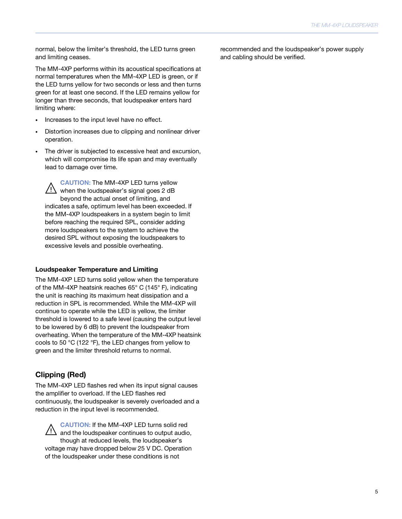normal, below the limiter's threshold, the LED turns green and limiting ceases.

The MM-4XP performs within its acoustical specifications at normal temperatures when the MM-4XP LED is green, or if the LED turns yellow for two seconds or less and then turns green for at least one second. If the LED remains yellow for longer than three seconds, that loudspeaker enters hard limiting where:

- Increases to the input level have no effect.
- Distortion increases due to clipping and nonlinear driver operation.
- The driver is subjected to excessive heat and excursion, which will compromise its life span and may eventually lead to damage over time.

CAUTION: The MM-4XP LED turns yellow  $\overline{\text{?}}$  when the loudspeaker's signal goes 2 dB beyond the actual onset of limiting, and indicates a safe, optimum level has been exceeded. If the MM-4XP loudspeakers in a system begin to limit before reaching the required SPL, consider adding more loudspeakers to the system to achieve the desired SPL without exposing the loudspeakers to excessive levels and possible overheating.

#### Loudspeaker Temperature and Limiting

The MM-4XP LED turns solid yellow when the temperature of the MM-4XP heatsink reaches 65° C (145° F), indicating the unit is reaching its maximum heat dissipation and a reduction in SPL is recommended. While the MM-4XP will continue to operate while the LED is yellow, the limiter threshold is lowered to a safe level (causing the output level to be lowered by 6 dB) to prevent the loudspeaker from overheating. When the temperature of the MM-4XP heatsink cools to 50 °C (122 °F), the LED changes from yellow to green and the limiter threshold returns to normal.

#### Clipping (Red)

The MM-4XP LED flashes red when its input signal causes the amplifier to overload. If the LED flashes red continuously, the loudspeaker is severely overloaded and a reduction in the input level is recommended.

CAUTION: If the MM-4XP LED turns solid red and the loudspeaker continues to output audio, though at reduced levels, the loudspeaker's voltage may have dropped below 25 V DC. Operation of the loudspeaker under these conditions is not  $\sqrt{N}$ 

recommended and the loudspeaker's power supply and cabling should be verified.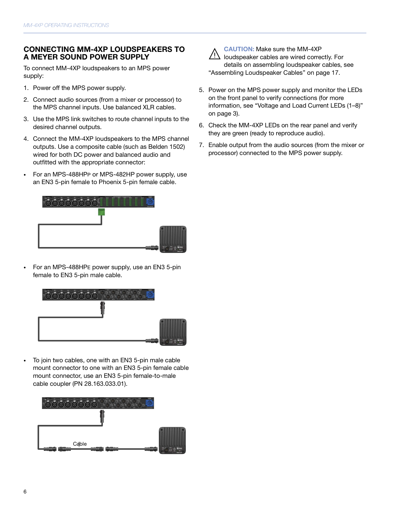### <span id="page-13-0"></span>CONNECTING MM-4XP LOUDSPEAKERS TO A MEYER SOUND POWER SUPPLY

To connect MM-4XP loudspeakers to an MPS power supply:

- 1. Power off the MPS power supply.
- 2. Connect audio sources (from a mixer or processor) to the MPS channel inputs. Use balanced XLR cables.
- 3. Use the MPS link switches to route channel inputs to the desired channel outputs.
- 4. Connect the MM-4XP loudspeakers to the MPS channel outputs. Use a composite cable (such as Belden 1502) wired for both DC power and balanced audio and outfitted with the appropriate connector:
- For an MPS-488HPP or MPS-482HP power supply, use an EN3 5-pin female to Phoenix 5-pin female cable.



• For an MPS-488HPE power supply, use an EN3 5-pin female to EN3 5-pin male cable.



• To join two cables, one with an EN3 5-pin male cable mount connector to one with an EN3 5-pin female cable mount connector, use an EN3 5-pin female-to-male cable coupler (PN 28.163.033.01).





CAUTION: Make sure the MM-4XP (1) loudspeaker cables are wired correctly. For details on assembling loudspeaker cables, see ["Assembling Loudspeaker Cables" on page 17.](#page-24-2)

- 5. Power on the MPS power supply and monitor the LEDs on the front panel to verify connections (for more information, see "Voltage and Load Current LEDs (1–8)" on page 3).
- 6. Check the MM-4XP LEDs on the rear panel and verify they are green (ready to reproduce audio).
- 7. Enable output from the audio sources (from the mixer or processor) connected to the MPS power supply.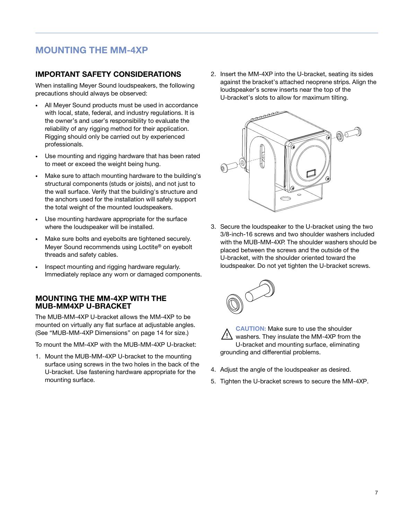# <span id="page-14-0"></span>MOUNTING THE MM-4XP

### <span id="page-14-1"></span>IMPORTANT SAFETY CONSIDERATIONS

When installing Meyer Sound loudspeakers, the following precautions should always be observed:

- All Meyer Sound products must be used in accordance with local, state, federal, and industry regulations. It is the owner's and user's responsibility to evaluate the reliability of any rigging method for their application. Rigging should only be carried out by experienced professionals.
- Use mounting and rigging hardware that has been rated to meet or exceed the weight being hung.
- Make sure to attach mounting hardware to the building's structural components (studs or joists), and not just to the wall surface. Verify that the building's structure and the anchors used for the installation will safely support the total weight of the mounted loudspeakers.
- Use mounting hardware appropriate for the surface where the loudspeaker will be installed.
- Make sure bolts and eyebolts are tightened securely. Meyer Sound recommends using Loctite® on eyebolt threads and safety cables.
- Inspect mounting and rigging hardware regularly. Immediately replace any worn or damaged components.

#### <span id="page-14-2"></span>MOUNTING THE MM-4XP WITH THE MUB-MM4XP U-BRACKET

The MUB-MM-4XP U-bracket allows the MM-4XP to be mounted on virtually any flat surface at adjustable angles. (See ["MUB-MM-4XP Dimensions" on page 14](#page-21-1) for size.)

To mount the MM-4XP with the MUB-MM-4XP U-bracket:

1. Mount the MUB-MM-4XP U-bracket to the mounting surface using screws in the two holes in the back of the U-bracket. Use fastening hardware appropriate for the mounting surface.

2. Insert the MM-4XP into the U-bracket, seating its sides against the bracket's attached neoprene strips. Align the loudspeaker's screw inserts near the top of the U-bracket's slots to allow for maximum tilting.



3. Secure the loudspeaker to the U-bracket using the two 3/8-inch-16 screws and two shoulder washers included with the MUB-MM-4XP. The shoulder washers should be placed between the screws and the outside of the U-bracket, with the shoulder oriented toward the loudspeaker. Do not yet tighten the U-bracket screws.



CAUTION: Make sure to use the shoulder washers. They insulate the MM-4XP from the U-bracket and mounting surface, eliminating grounding and differential problems.

- 4. Adjust the angle of the loudspeaker as desired.
- 5. Tighten the U-bracket screws to secure the MM-4XP.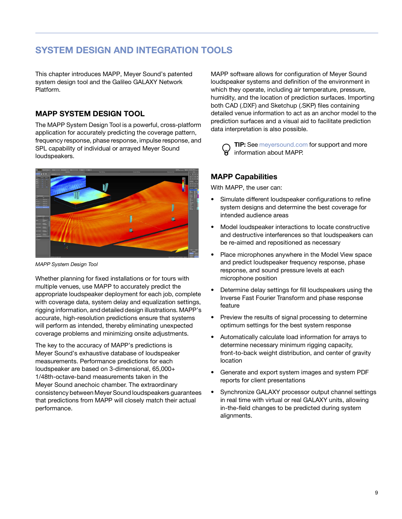# <span id="page-16-0"></span>SYSTEM DESIGN AND INTEGRATION TOOLS

This chapter introduces MAPP, Meyer Sound's patented system design tool and the Galileo GALAXY Network Platform.

### <span id="page-16-1"></span>MAPP SYSTEM DESIGN TOOL

The MAPP System Design Tool is a powerful, cross-platform application for accurately predicting the coverage pattern, frequency response, phase response, impulse response, and SPL capability of individual or arrayed Meyer Sound loudspeakers.



MAPP System Design Tool

Whether planning for fixed installations or for tours with multiple venues, use MAPP to accurately predict the appropriate loudspeaker deployment for each job, complete with coverage data, system delay and equalization settings, rigging information, and detailed design illustrations. MAPP's accurate, high-resolution predictions ensure that systems will perform as intended, thereby eliminating unexpected coverage problems and minimizing onsite adjustments.

The key to the accuracy of MAPP's predictions is Meyer Sound's exhaustive database of loudspeaker measurements. Performance predictions for each loudspeaker are based on 3-dimensional, 65,000+ 1/48th-octave-band measurements taken in the Meyer Sound anechoic chamber. The extraordinary consistency between Meyer Sound loudspeakers guarantees that predictions from MAPP will closely match their actual performance.

MAPP software allows for configuration of Meyer Sound loudspeaker systems and definition of the environment in which they operate, including air temperature, pressure, humidity, and the location of prediction surfaces. Importing both CAD (.DXF) and Sketchup (.SKP) files containing detailed venue information to act as an anchor model to the prediction surfaces and a visual aid to facilitate prediction data interpretation is also possible.

**TIP:** [See](https://meyersound.com) meyersound.com for support and more information about MAPP. ₩

## MAPP Capabilities

With MAPP, the user can:

- Simulate different loudspeaker configurations to refine system designs and determine the best coverage for intended audience areas
- Model loudspeaker interactions to locate constructive and destructive interferences so that loudspeakers can be re-aimed and repositioned as necessary
- Place microphones anywhere in the Model View space and predict loudspeaker frequency response, phase response, and sound pressure levels at each microphone position
- Determine delay settings for fill loudspeakers using the Inverse Fast Fourier Transform and phase response feature
- Preview the results of signal processing to determine optimum settings for the best system response
- Automatically calculate load information for arrays to determine necessary minimum rigging capacity, front-to-back weight distribution, and center of gravity location
- Generate and export system images and system PDF reports for client presentations
- Synchronize GALAXY processor output channel settings in real time with virtual or real GALAXY units, allowing in-the-field changes to be predicted during system alignments.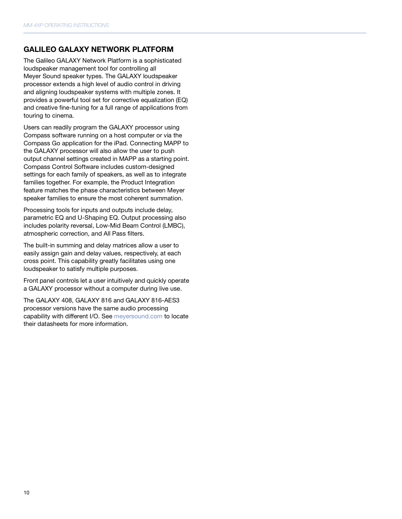### <span id="page-17-0"></span>GALILEO GALAXY NETWORK PLATFORM

The Galileo GALAXY Network Platform is a sophisticated loudspeaker management tool for controlling all Meyer Sound speaker types. The GALAXY loudspeaker processor extends a high level of audio control in driving and aligning loudspeaker systems with multiple zones. It provides a powerful tool set for corrective equalization (EQ) and creative fine-tuning for a full range of applications from touring to cinema.

Users can readily program the GALAXY processor using Compass software running on a host computer or via the Compass Go application for the iPad. Connecting MAPP to the GALAXY processor will also allow the user to push output channel settings created in MAPP as a starting point. Compass Control Software includes custom-designed settings for each family of speakers, as well as to integrate families together. For example, the Product Integration feature matches the phase characteristics between Meyer speaker families to ensure the most coherent summation.

Processing tools for inputs and outputs include delay, parametric EQ and U-Shaping EQ. Output processing also includes polarity reversal, Low-Mid Beam Control (LMBC), atmospheric correction, and All Pass filters.

The built-in summing and delay matrices allow a user to easily assign gain and delay values, respectively, at each cross point. This capability greatly facilitates using one loudspeaker to satisfy multiple purposes.

Front panel controls let a user intuitively and quickly operate a GALAXY processor without a computer during live use.

The GALAXY 408, GALAXY 816 and GALAXY 816-AES3 processor versions have the same audio processing capability with different I/O. See [meyersound.com](https://meyersound.com) to locate their datasheets for more information.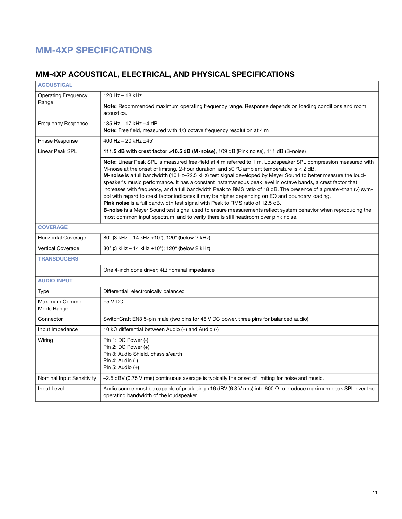# <span id="page-18-0"></span>MM-4XP SPECIFICATIONS

# <span id="page-18-1"></span>MM-4XP ACOUSTICAL, ELECTRICAL, AND PHYSICAL SPECIFICATIONS

| <b>ACOUSTICAL</b>            |                                                                                                                                                                                                                                                                                                                                                                                                                                                                                                                                                                                                                                                                                                                                                                                                                                                                                                                                                                                          |  |  |  |
|------------------------------|------------------------------------------------------------------------------------------------------------------------------------------------------------------------------------------------------------------------------------------------------------------------------------------------------------------------------------------------------------------------------------------------------------------------------------------------------------------------------------------------------------------------------------------------------------------------------------------------------------------------------------------------------------------------------------------------------------------------------------------------------------------------------------------------------------------------------------------------------------------------------------------------------------------------------------------------------------------------------------------|--|--|--|
| <b>Operating Frequency</b>   | 120 Hz - 18 kHz                                                                                                                                                                                                                                                                                                                                                                                                                                                                                                                                                                                                                                                                                                                                                                                                                                                                                                                                                                          |  |  |  |
| Range                        | Note: Recommended maximum operating frequency range. Response depends on loading conditions and room<br>acoustics.                                                                                                                                                                                                                                                                                                                                                                                                                                                                                                                                                                                                                                                                                                                                                                                                                                                                       |  |  |  |
| <b>Frequency Response</b>    | 135 Hz - 17 kHz ±4 dB<br><b>Note:</b> Free field, measured with 1/3 octave frequency resolution at 4 m                                                                                                                                                                                                                                                                                                                                                                                                                                                                                                                                                                                                                                                                                                                                                                                                                                                                                   |  |  |  |
| Phase Response               | 400 Hz - 20 kHz $\pm$ 45°                                                                                                                                                                                                                                                                                                                                                                                                                                                                                                                                                                                                                                                                                                                                                                                                                                                                                                                                                                |  |  |  |
| <b>Linear Peak SPL</b>       | 111.5 dB with crest factor >16.5 dB (M-noise), 109 dB (Pink noise), 111 dB (B-noise)                                                                                                                                                                                                                                                                                                                                                                                                                                                                                                                                                                                                                                                                                                                                                                                                                                                                                                     |  |  |  |
|                              | Note: Linear Peak SPL is measured free-field at 4 m referred to 1 m. Loudspeaker SPL compression measured with<br>M-noise at the onset of limiting, 2-hour duration, and 50 $^{\circ}$ C ambient temperature is < 2 dB.<br>M-noise is a full bandwidth (10 Hz-22.5 kHz) test signal developed by Meyer Sound to better measure the loud-<br>speaker's music performance. It has a constant instantaneous peak level in octave bands, a crest factor that<br>increases with frequency, and a full bandwidth Peak to RMS ratio of 18 dB. The presence of a greater-than (>) sym-<br>bol with regard to crest factor indicates it may be higher depending on EQ and boundary loading.<br><b>Pink noise</b> is a full bandwidth test signal with Peak to RMS ratio of 12.5 dB.<br><b>B-noise</b> is a Meyer Sound test signal used to ensure measurements reflect system behavior when reproducing the<br>most common input spectrum, and to verify there is still headroom over pink noise. |  |  |  |
| <b>COVERAGE</b>              |                                                                                                                                                                                                                                                                                                                                                                                                                                                                                                                                                                                                                                                                                                                                                                                                                                                                                                                                                                                          |  |  |  |
| <b>Horizontal Coverage</b>   | 80° (3 kHz - 14 kHz ±10°); 120° (below 2 kHz)                                                                                                                                                                                                                                                                                                                                                                                                                                                                                                                                                                                                                                                                                                                                                                                                                                                                                                                                            |  |  |  |
| Vertical Coverage            | 80° (3 kHz – 14 kHz $\pm$ 10°); 120° (below 2 kHz)                                                                                                                                                                                                                                                                                                                                                                                                                                                                                                                                                                                                                                                                                                                                                                                                                                                                                                                                       |  |  |  |
| <b>TRANSDUCERS</b>           |                                                                                                                                                                                                                                                                                                                                                                                                                                                                                                                                                                                                                                                                                                                                                                                                                                                                                                                                                                                          |  |  |  |
|                              | One 4-inch cone driver; $4\Omega$ nominal impedance                                                                                                                                                                                                                                                                                                                                                                                                                                                                                                                                                                                                                                                                                                                                                                                                                                                                                                                                      |  |  |  |
| <b>AUDIO INPUT</b>           |                                                                                                                                                                                                                                                                                                                                                                                                                                                                                                                                                                                                                                                                                                                                                                                                                                                                                                                                                                                          |  |  |  |
| Type                         | Differential, electronically balanced                                                                                                                                                                                                                                                                                                                                                                                                                                                                                                                                                                                                                                                                                                                                                                                                                                                                                                                                                    |  |  |  |
| Maximum Common<br>Mode Range | $±5$ V DC                                                                                                                                                                                                                                                                                                                                                                                                                                                                                                                                                                                                                                                                                                                                                                                                                                                                                                                                                                                |  |  |  |
| Connector                    | SwitchCraft EN3 5-pin male (two pins for 48 V DC power, three pins for balanced audio)                                                                                                                                                                                                                                                                                                                                                                                                                                                                                                                                                                                                                                                                                                                                                                                                                                                                                                   |  |  |  |
| Input Impedance              | 10 k $\Omega$ differential between Audio (+) and Audio (-)                                                                                                                                                                                                                                                                                                                                                                                                                                                                                                                                                                                                                                                                                                                                                                                                                                                                                                                               |  |  |  |
| Wiring                       | Pin 1: DC Power (-)<br>Pin 2: DC Power $(+)$<br>Pin 3: Audio Shield, chassis/earth<br>Pin 4: Audio (-)<br>Pin 5: Audio $(+)$                                                                                                                                                                                                                                                                                                                                                                                                                                                                                                                                                                                                                                                                                                                                                                                                                                                             |  |  |  |
| Nominal Input Sensitivity    | $-2.5$ dBV (0.75 V rms) continuous average is typically the onset of limiting for noise and music.                                                                                                                                                                                                                                                                                                                                                                                                                                                                                                                                                                                                                                                                                                                                                                                                                                                                                       |  |  |  |
| Input Level                  | Audio source must be capable of producing +16 dBV (6.3 V rms) into 600 $\Omega$ to produce maximum peak SPL over the<br>operating bandwidth of the loudspeaker.                                                                                                                                                                                                                                                                                                                                                                                                                                                                                                                                                                                                                                                                                                                                                                                                                          |  |  |  |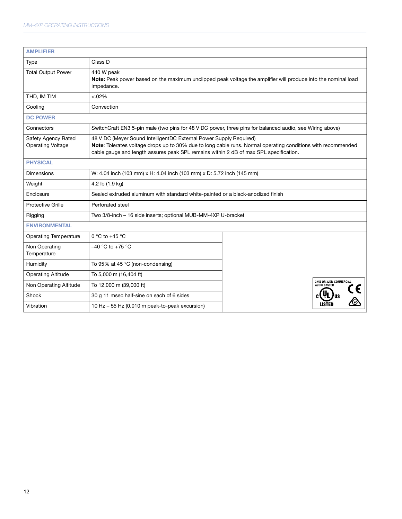| <b>AMPLIFIER</b>                                |                                                                                                                                                                                                                                                                             |                                                |  |  |
|-------------------------------------------------|-----------------------------------------------------------------------------------------------------------------------------------------------------------------------------------------------------------------------------------------------------------------------------|------------------------------------------------|--|--|
| Type                                            | Class D                                                                                                                                                                                                                                                                     |                                                |  |  |
| <b>Total Output Power</b>                       | 440 W peak<br>Note: Peak power based on the maximum unclipped peak voltage the amplifier will produce into the nominal load<br>impedance.                                                                                                                                   |                                                |  |  |
| THD, IM TIM                                     | $< .02\%$                                                                                                                                                                                                                                                                   |                                                |  |  |
| Cooling                                         | Convection                                                                                                                                                                                                                                                                  |                                                |  |  |
| <b>DC POWER</b>                                 |                                                                                                                                                                                                                                                                             |                                                |  |  |
| Connectors                                      | SwitchCraft EN3 5-pin male (two pins for 48 V DC power, three pins for balanced audio, see Wiring above)                                                                                                                                                                    |                                                |  |  |
| Safety Agency Rated<br><b>Operating Voltage</b> | 48 V DC (Meyer Sound IntelligentDC External Power Supply Required)<br>Note: Tolerates voltage drops up to 30% due to long cable runs. Normal operating conditions with recommended<br>cable gauge and length assures peak SPL remains within 2 dB of max SPL specification. |                                                |  |  |
| <b>PHYSICAL</b>                                 |                                                                                                                                                                                                                                                                             |                                                |  |  |
| <b>Dimensions</b>                               | W: 4.04 inch (103 mm) x H: 4.04 inch (103 mm) x D: 5.72 inch (145 mm)                                                                                                                                                                                                       |                                                |  |  |
| Weight                                          | 4.2 lb (1.9 kg)                                                                                                                                                                                                                                                             |                                                |  |  |
| Enclosure                                       | Sealed extruded aluminum with standard white-painted or a black-anodized finish                                                                                                                                                                                             |                                                |  |  |
| <b>Protective Grille</b>                        | Perforated steel                                                                                                                                                                                                                                                            |                                                |  |  |
| Rigging                                         | Two 3/8-inch - 16 side inserts; optional MUB-MM-4XP U-bracket                                                                                                                                                                                                               |                                                |  |  |
| <b>ENVIRONMENTAL</b>                            |                                                                                                                                                                                                                                                                             |                                                |  |  |
| <b>Operating Temperature</b>                    | $0 °C$ to +45 $°C$                                                                                                                                                                                                                                                          |                                                |  |  |
| Non Operating<br>Temperature                    | -40 °C to +75 °C                                                                                                                                                                                                                                                            |                                                |  |  |
| Humidity                                        | To 95% at 45 °C (non-condensing)                                                                                                                                                                                                                                            |                                                |  |  |
| <b>Operating Altitude</b>                       | To 5,000 m (16,404 ft)                                                                                                                                                                                                                                                      |                                                |  |  |
| Non Operating Altitude                          | To 12,000 m (39,000 ft)                                                                                                                                                                                                                                                     | 3K59 OR 3JKB COMMERCIAL<br><b>AUDIO SYSTEM</b> |  |  |
| Shock                                           | 30 g 11 msec half-sine on each of 6 sides                                                                                                                                                                                                                                   |                                                |  |  |
| Vibration                                       | 10 Hz - 55 Hz (0.010 m peak-to-peak excursion)                                                                                                                                                                                                                              |                                                |  |  |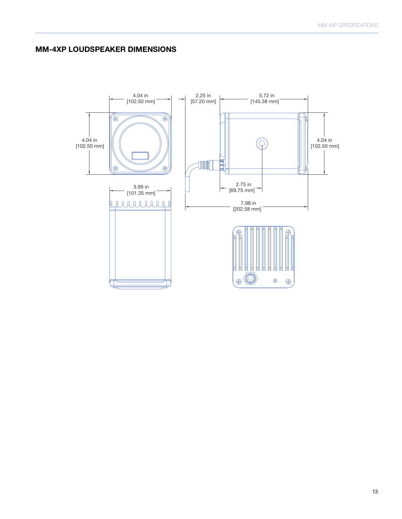## <span id="page-20-0"></span>MM-4XP LOUDSPEAKER DIMENSIONS

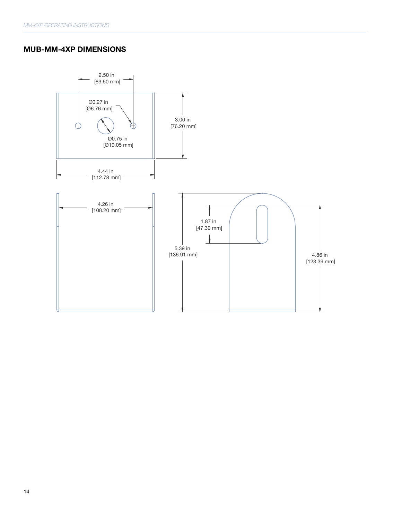## <span id="page-21-1"></span><span id="page-21-0"></span>MUB-MM-4XP DIMENSIONS

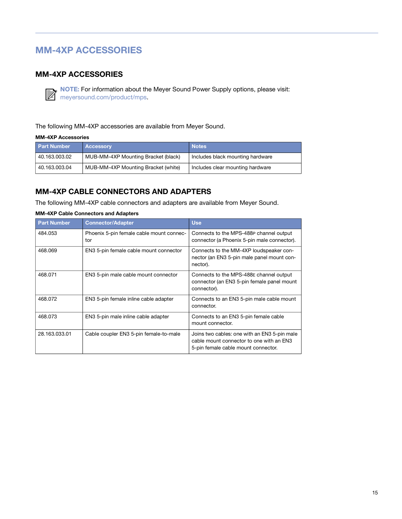# <span id="page-22-3"></span><span id="page-22-0"></span>MM-4XP ACCESSORIES

## <span id="page-22-1"></span>MM-4XP ACCESSORIES



NOTE: [For information about the Meyer Sound Power Supply options, please visit:](https://meyersound.com/product/mps)  [m](https://meyersound.com/product/mps)eyersound.com/product/mps.

The following MM-4XP accessories are available from Meyer Sound.

#### MM-4XP Accessories

| <b>Part Number</b> | <b>Accessory</b>                    | <b>Notes</b>                     |
|--------------------|-------------------------------------|----------------------------------|
| 40.163.003.02      | MUB-MM-4XP Mounting Bracket (black) | Includes black mounting hardware |
| 40.163.003.04      | MUB-MM-4XP Mounting Bracket (white) | Includes clear mounting hardware |

### <span id="page-22-2"></span>MM-4XP CABLE CONNECTORS AND ADAPTERS

The following MM-4XP cable connectors and adapters are available from Meyer Sound.

## MM-4XP Cable Connectors and Adapters

| <b>Part Number</b> | <b>Connector/Adapter</b>                        | <b>Use</b>                                                                                                                      |
|--------------------|-------------------------------------------------|---------------------------------------------------------------------------------------------------------------------------------|
| 484.053            | Phoenix 5-pin female cable mount connec-<br>tor | Connects to the MPS-488P channel output<br>connector (a Phoenix 5-pin male connector).                                          |
| 468.069            | EN3 5-pin female cable mount connector          | Connects to the MM-4XP loudspeaker con-<br>nector (an EN3 5-pin male panel mount con-<br>nector).                               |
| 468.071            | EN3 5-pin male cable mount connector            | Connects to the MPS-488E channel output<br>connector (an EN3 5-pin female panel mount<br>connector).                            |
| 468.072            | EN3 5-pin female inline cable adapter           | Connects to an EN3 5-pin male cable mount<br>connector.                                                                         |
| 468.073            | EN3 5-pin male inline cable adapter             | Connects to an EN3 5-pin female cable<br>mount connector.                                                                       |
| 28.163.033.01      | Cable coupler EN3 5-pin female-to-male          | Joins two cables: one with an EN3 5-pin male<br>cable mount connector to one with an EN3<br>5-pin female cable mount connector. |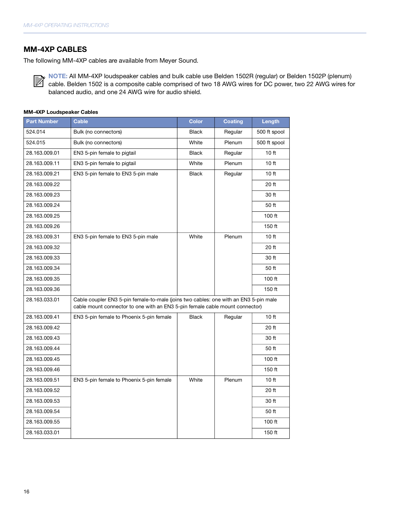#### <span id="page-23-0"></span>MM-4XP CABLES

The following MM-4XP cables are available from Meyer Sound.

NOTE: All MM-4XP loudspeaker cables and bulk cable use Belden 1502R (regular) or Belden 1502P (plenum) cable. Belden 1502 is a composite cable comprised of two 18 AWG wires for DC power, two 22 AWG wires for  $\mathbb{R}$ balanced audio, and one 24 AWG wire for audio shield.

#### MM-4XP Loudspeaker Cables

| <b>Part Number</b> | <b>Cable</b>                                                                                                                                                         | <b>Color</b> | <b>Coating</b> | Length           |
|--------------------|----------------------------------------------------------------------------------------------------------------------------------------------------------------------|--------------|----------------|------------------|
| 524.014            | Bulk (no connectors)                                                                                                                                                 | <b>Black</b> | Regular        | 500 ft spool     |
| 524.015            | Bulk (no connectors)                                                                                                                                                 | White        | Plenum         | 500 ft spool     |
| 28.163.009.01      | EN3 5-pin female to pigtail                                                                                                                                          | <b>Black</b> | Regular        | 10 <sub>ft</sub> |
| 28.163.009.11      | EN3 5-pin female to pigtail                                                                                                                                          | White        | Plenum         | 10 <sub>ft</sub> |
| 28.163.009.21      | EN3 5-pin female to EN3 5-pin male                                                                                                                                   | <b>Black</b> | Regular        | 10ft             |
| 28.163.009.22      |                                                                                                                                                                      |              |                | 20 ft            |
| 28.163.009.23      |                                                                                                                                                                      |              |                | 30 ft            |
| 28.163.009.24      |                                                                                                                                                                      |              |                | 50 ft            |
| 28.163.009.25      |                                                                                                                                                                      |              |                | $100$ ft         |
| 28.163.009.26      |                                                                                                                                                                      |              |                | 150 ft           |
| 28.163.009.31      | EN3 5-pin female to EN3 5-pin male                                                                                                                                   | White        | Plenum         | 10 <sub>ft</sub> |
| 28.163.009.32      |                                                                                                                                                                      |              |                | 20 ft            |
| 28.163.009.33      |                                                                                                                                                                      |              |                | 30 ft            |
| 28.163.009.34      |                                                                                                                                                                      |              |                | 50 ft            |
| 28.163.009.35      |                                                                                                                                                                      |              |                | 100 ft           |
| 28.163.009.36      |                                                                                                                                                                      |              |                | 150 ft           |
| 28.163.033.01      | Cable coupler EN3 5-pin female-to-male (joins two cables: one with an EN3 5-pin male<br>cable mount connector to one with an EN3 5-pin female cable mount connector) |              |                |                  |
| 28.163.009.41      | EN3 5-pin female to Phoenix 5-pin female                                                                                                                             | <b>Black</b> | Regular        | 10 ft            |
| 28.163.009.42      |                                                                                                                                                                      |              |                | 20 ft            |
| 28.163.009.43      |                                                                                                                                                                      |              |                | 30 ft            |
| 28.163.009.44      |                                                                                                                                                                      |              |                | 50 ft            |
| 28.163.009.45      |                                                                                                                                                                      |              |                | $100$ ft         |
| 28.163.009.46      |                                                                                                                                                                      |              |                | 150 ft           |
| 28.163.009.51      | EN3 5-pin female to Phoenix 5-pin female                                                                                                                             | White        | Plenum         | 10 <sub>ft</sub> |
| 28.163.009.52      |                                                                                                                                                                      |              |                | 20 ft            |
| 28.163.009.53      |                                                                                                                                                                      |              |                | 30 ft            |
| 28.163.009.54      |                                                                                                                                                                      |              |                | 50 ft            |
| 28.163.009.55      |                                                                                                                                                                      |              |                | 100 ft           |
| 28.163.033.01      |                                                                                                                                                                      |              |                | 150 ft           |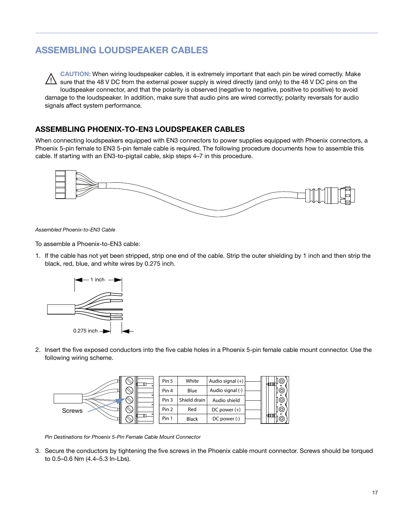# <span id="page-24-2"></span><span id="page-24-0"></span>ASSEMBLING LOUDSPEAKER CABLES

CAUTION: When wiring loudspeaker cables, it is extremely important that each pin be wired correctly. Make sure that the 48 V DC from the external power supply is wired directly (and only) to the 48 V DC pins on the loudspeaker connector, and that the polarity is observed (negative to negative, positive to positive) to avoid damage to the loudspeaker. In addition, make sure that audio pins are wired correctly; polarity reversals for audio signals affect system performance.  $\sqrt{a}$ 

## <span id="page-24-1"></span>ASSEMBLING PHOENIX-TO-EN3 LOUDSPEAKER CABLES

When connecting loudspeakers equipped with EN3 connectors to power supplies equipped with Phoenix connectors, a Phoenix 5-pin female to EN3 5-pin female cable is required. The following procedure documents how to assemble this cable. If starting with an EN3-to-pigtail cable, skip steps 4–7 in this procedure.



Assembled Phoenix-to-EN3 Cable

To assemble a Phoenix-to-EN3 cable:

1. If the cable has not yet been stripped, strip one end of the cable. Strip the outer shielding by 1 inch and then strip the black, red, blue, and white wires by 0.275 inch.



2. Insert the five exposed conductors into the five cable holes in a Phoenix 5-pin female cable mount connector. Use the following wiring scheme.



Pin Destinations for Phoenix 5-Pin Female Cable Mount Connector

3. Secure the conductors by tightening the five screws in the Phoenix cable mount connector. Screws should be torqued to 0.5–0.6 Nm (4.4–5.3 In-Lbs).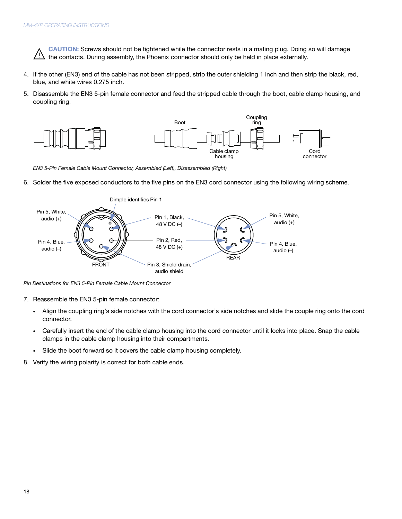CAUTION: Screws should not be tightened while the connector rests in a mating plug. Doing so will damage the contacts. During assembly, the Phoenix connector should only be held in place externally.  $\sqrt{N}$ 

- 4. If the other (EN3) end of the cable has not been stripped, strip the outer shielding 1 inch and then strip the black, red, blue, and white wires 0.275 inch.
- 5. Disassemble the EN3 5-pin female connector and feed the stripped cable through the boot, cable clamp housing, and coupling ring.



EN3 5-Pin Female Cable Mount Connector, Assembled (Left), Disassembled (Right)

6. Solder the five exposed conductors to the five pins on the EN3 cord connector using the following wiring scheme.



Pin Destinations for EN3 5-Pin Female Cable Mount Connector

- 7. Reassemble the EN3 5-pin female connector:
	- Align the coupling ring's side notches with the cord connector's side notches and slide the couple ring onto the cord connector.
	- Carefully insert the end of the cable clamp housing into the cord connector until it locks into place. Snap the cable clamps in the cable clamp housing into their compartments.
	- Slide the boot forward so it covers the cable clamp housing completely.
- 8. Verify the wiring polarity is correct for both cable ends.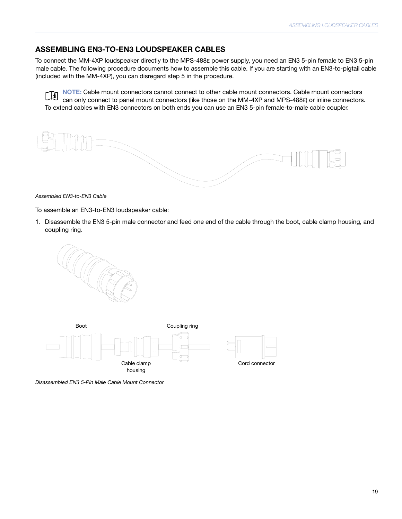### <span id="page-26-0"></span>ASSEMBLING EN3-TO-EN3 LOUDSPEAKER CABLES

To connect the MM-4XP loudspeaker directly to the MPS-488E power supply, you need an EN3 5-pin female to EN3 5-pin male cable. The following procedure documents how to assemble this cable. If you are starting with an EN3-to-pigtail cable (included with the MM-4XP), you can disregard step 5 in the procedure.

NOTE: Cable mount connectors cannot connect to other cable mount connectors. Cable mount connectors ∣∐ì can only connect to panel mount connectors (like those on the MM-4XP and MPS-488E) or inline connectors. To extend cables with EN3 connectors on both ends you can use an EN3 5-pin female-to-male cable coupler.

Assembled EN3-to-EN3 Cable

To assemble an EN3-to-EN3 loudspeaker cable:

1. Disassemble the EN3 5-pin male connector and feed one end of the cable through the boot, cable clamp housing, and coupling ring.





Disassembled EN3 5-Pin Male Cable Mount Connector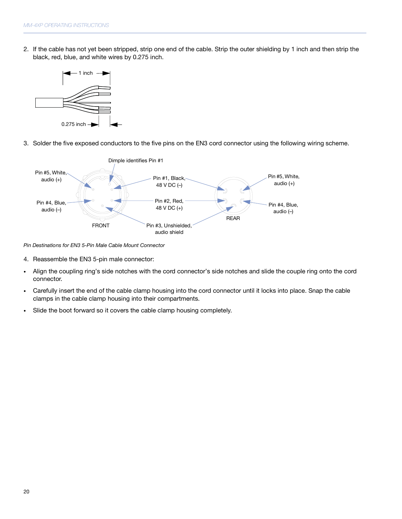2. If the cable has not yet been stripped, strip one end of the cable. Strip the outer shielding by 1 inch and then strip the black, red, blue, and white wires by 0.275 inch.



3. Solder the five exposed conductors to the five pins on the EN3 cord connector using the following wiring scheme.



Pin Destinations for EN3 5-Pin Male Cable Mount Connector

- 4. Reassemble the EN3 5-pin male connector:
- Align the coupling ring's side notches with the cord connector's side notches and slide the couple ring onto the cord connector.
- Carefully insert the end of the cable clamp housing into the cord connector until it locks into place. Snap the cable clamps in the cable clamp housing into their compartments.
- Slide the boot forward so it covers the cable clamp housing completely.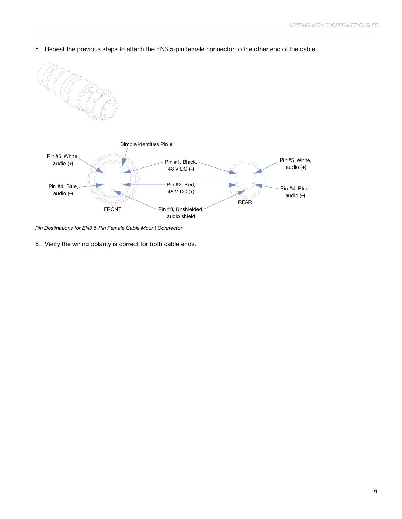5. Repeat the previous steps to attach the EN3 5-pin female connector to the other end of the cable.



Pin Destinations for EN3 5-Pin Female Cable Mount Connector

6. Verify the wiring polarity is correct for both cable ends.